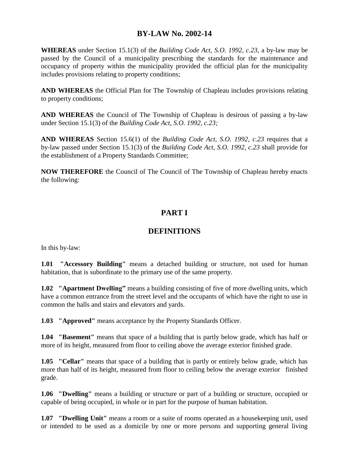# **BY-LAW No. 2002-14**

**WHEREAS** under Section 15.1(3) of the *Building Code Act, S.O. 1992, c.23,* a by-law may be passed by the Council of a municipality prescribing the standards for the maintenance and occupancy of property within the municipality provided the official plan for the municipality includes provisions relating to property conditions;

**AND WHEREAS** the Official Plan for The Township of Chapleau includes provisions relating to property conditions;

**AND WHEREAS** the Council of The Township of Chapleau is desirous of passing a by-law under Section 15.1(3) of the *Building Code Act, S.O. 1992, c.23;*

**AND WHEREAS** Section 15.6(1) of the *Building Code Act, S.O. 1992, c.23* requires that a by-law passed under Section 15.1(3) of the *Building Code Act, S.O. 1992, c.23* shall provide for the establishment of a Property Standards Committee;

**NOW THEREFORE** the Council of The Council of The Township of Chapleau hereby enacts the following:

# **PART I**

# **DEFINITIONS**

In this by-law:

**1.01 "Accessory Building"** means a detached building or structure, not used for human habitation, that is subordinate to the primary use of the same property.

**1.02 "Apartment Dwelling"** means a building consisting of five of more dwelling units, which have a common entrance from the street level and the occupants of which have the right to use in common the halls and stairs and elevators and yards.

**1.03 "Approved"** means acceptance by the Property Standards Officer.

**1.04 "Basement"** means that space of a building that is partly below grade, which has half or more of its height, measured from floor to ceiling above the average exterior finished grade.

**1.05 "Cellar"** means that space of a building that is partly or entirely below grade, which has more than half of its height, measured from floor to ceiling below the average exterior finished grade.

**1.06 "Dwelling"** means a building or structure or part of a building or structure, occupied or capable of being occupied, in whole or in part for the purpose of human habitation.

**1.07 "Dwelling Unit"** means a room or a suite of rooms operated as a housekeeping unit, used or intended to be used as a domicile by one or more persons and supporting general living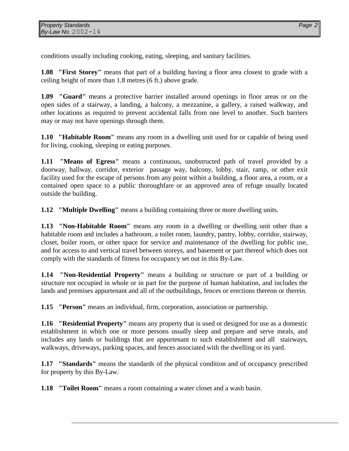conditions usually including cooking, eating, sleeping, and sanitary facilities.

**1.08 "First Storey"** means that part of a building having a floor area closest to grade with a ceiling height of more than 1.8 metres (6 ft.) above grade.

**1.09 "Guard"** means a protective barrier installed around openings in floor areas or on the open sides of a stairway, a landing, a balcony, a mezzanine, a gallery, a raised walkway, and other locations as required to prevent accidental falls from one level to another. Such barriers may or may not have openings through them.

**1.10 "Habitable Room"** means any room in a dwelling unit used for or capable of being used for living, cooking, sleeping or eating purposes.

**1.11 "Means of Egress"** means a continuous, unobstructed path of travel provided by a doorway, hallway, corridor, exterior passage way, balcony, lobby, stair, ramp, or other exit facility used for the escape of persons from any point within a building, a floor area, a room, or a contained open space to a public thoroughfare or an approved area of refuge usually located outside the building.

**1.12 "Multiple Dwelling"** means a building containing three or more dwelling units.

**1.13 "Non-Habitable Room"** means any room in a dwelling or dwelling unit other than a habitable room and includes a bathroom, a toilet room, laundry, pantry, lobby, corridor, stairway, closet, boiler room, or other space for service and maintenance of the dwelling for public use, and for access to and vertical travel between storeys, and basement or part thereof which does not comply with the standards of fitness for occupancy set out in this By-Law.

**1.14 "Non-Residential Property"** means a building or structure or part of a building or structure not occupied in whole or in part for the purpose of human habitation, and includes the lands and premises appurtenant and all of the outbuildings, fences or erections thereon or therein.

**1.15 "Person"** means an individual, firm, corporation, association or partnership.

**1.16 "Residential Property"** means any property that is used or designed for use as a domestic establishment in which one or more persons usually sleep and prepare and serve meals, and includes any lands or buildings that are appurtenant to such establishment and all stairways, walkways, driveways, parking spaces, and fences associated with the dwelling or its yard.

**1.17 "Standards"** means the standards of the physical condition and of occupancy prescribed for property by this By-Law.

**1.18 "Toilet Room"** means a room containing a water closet and a wash basin.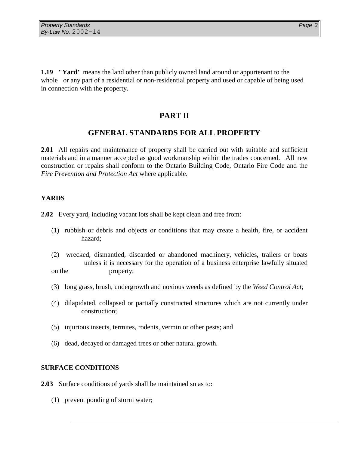**1.19 "Yard"** means the land other than publicly owned land around or appurtenant to the whole or any part of a residential or non-residential property and used or capable of being used in connection with the property.

# **PART II**

# **GENERAL STANDARDS FOR ALL PROPERTY**

**2.01** All repairs and maintenance of property shall be carried out with suitable and sufficient materials and in a manner accepted as good workmanship within the trades concerned. All new construction or repairs shall conform to the Ontario Building Code, Ontario Fire Code and the *Fire Prevention and Protection Act* where applicable.

#### **YARDS**

**2.02** Every yard, including vacant lots shall be kept clean and free from:

- (1) rubbish or debris and objects or conditions that may create a health, fire, or accident hazard;
- (2) wrecked, dismantled, discarded or abandoned machinery, vehicles, trailers or boats unless it is necessary for the operation of a business enterprise lawfully situated on the property;
- (3) long grass, brush, undergrowth and noxious weeds as defined by the *Weed Control Act;*
- (4) dilapidated, collapsed or partially constructed structures which are not currently under construction;
- (5) injurious insects, termites, rodents, vermin or other pests; and
- (6) dead, decayed or damaged trees or other natural growth.

#### **SURFACE CONDITIONS**

**2.03** Surface conditions of yards shall be maintained so as to:

(1) prevent ponding of storm water;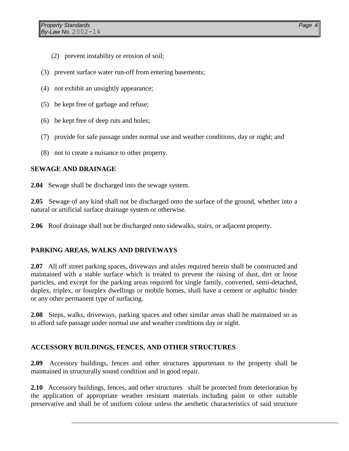- (2) prevent instability or erosion of soil;
- (3) prevent surface water run-off from entering basements;
- (4) not exhibit an unsightly appearance;
- (5) be kept free of garbage and refuse;
- (6) be kept free of deep ruts and holes;
- (7) provide for safe passage under normal use and weather conditions, day or night; and
- (8) not to create a nuisance to other property.

#### **SEWAGE AND DRAINAGE**

**2.04** Sewage shall be discharged into the sewage system.

**2.05** Sewage of any kind shall not be discharged onto the surface of the ground, whether into a natural or artificial surface drainage system or otherwise.

**2.06** Roof drainage shall not be discharged onto sidewalks, stairs, or adjacent property.

#### **PARKING AREAS, WALKS AND DRIVEWAYS**

**2.07** All off street parking spaces, driveways and aisles required herein shall be constructed and maintained with a stable surface which is treated to prevent the raising of dust, dirt or loose particles, and except for the parking areas required for single family, converted, semi-detached, duplex, triplex, or fourplex dwellings or mobile homes, shall have a cement or asphaltic binder or any other permanent type of surfacing.

**2.08** Steps, walks, driveways, parking spaces and other similar areas shall be maintained so as to afford safe passage under normal use and weather conditions day or night.

#### **ACCESSORY BUILDINGS, FENCES, AND OTHER STRUCTURES**

**2.09** Accessory buildings, fences and other structures appurtenant to the property shall be maintained in structurally sound condition and in good repair.

**2.10** Accessory buildings, fences, and other structures shall be protected from deterioration by the application of appropriate weather resistant materials including paint or other suitable preservative and shall be of uniform colour unless the aesthetic characteristics of said structure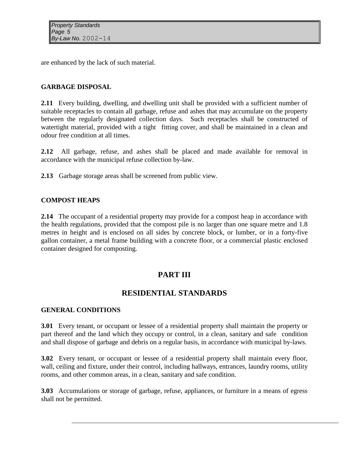are enhanced by the lack of such material.

## **GARBAGE DISPOSAL**

**2.11** Every building, dwelling, and dwelling unit shall be provided with a sufficient number of suitable receptacles to contain all garbage, refuse and ashes that may accumulate on the property between the regularly designated collection days. Such receptacles shall be constructed of watertight material, provided with a tight fitting cover, and shall be maintained in a clean and odour free condition at all times.

**2.12** All garbage, refuse, and ashes shall be placed and made available for removal in accordance with the municipal refuse collection by-law.

**2.13** Garbage storage areas shall be screened from public view.

## **COMPOST HEAPS**

**2.14** The occupant of a residential property may provide for a compost heap in accordance with the health regulations, provided that the compost pile is no larger than one square metre and 1.8 metres in height and is enclosed on all sides by concrete block, or lumber, or in a forty-five gallon container, a metal frame building with a concrete floor, or a commercial plastic enclosed container designed for composting.

# **PART III**

# **RESIDENTIAL STANDARDS**

## **GENERAL CONDITIONS**

**3.01** Every tenant, or occupant or lessee of a residential property shall maintain the property or part thereof and the land which they occupy or control, in a clean, sanitary and safe condition and shall dispose of garbage and debris on a regular basis, in accordance with municipal by-laws.

**3.02** Every tenant, or occupant or lessee of a residential property shall maintain every floor, wall, ceiling and fixture, under their control, including hallways, entrances, laundry rooms, utility rooms, and other common areas, in a clean, sanitary and safe condition.

**3.03** Accumulations or storage of garbage, refuse, appliances, or furniture in a means of egress shall not be permitted.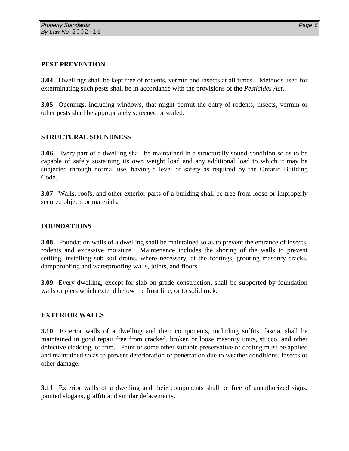#### **PEST PREVENTION**

**3.04** Dwellings shall be kept free of rodents, vermin and insects at all times. Methods used for exterminating such pests shall be in accordance with the provisions of the *Pesticides Act*.

**3.05** Openings, including windows, that might permit the entry of rodents, insects, vermin or other pests shall be appropriately screened or sealed.

#### **STRUCTURAL SOUNDNESS**

**3.06** Every part of a dwelling shall be maintained in a structurally sound condition so as to be capable of safely sustaining its own weight load and any additional load to which it may be subjected through normal use, having a level of safety as required by the Ontario Building Code.

**3.07** Walls, roofs, and other exterior parts of a building shall be free from loose or improperly secured objects or materials.

#### **FOUNDATIONS**

**3.08** Foundation walls of a dwelling shall be maintained so as to prevent the entrance of insects, rodents and excessive moisture. Maintenance includes the shoring of the walls to prevent settling, installing sub soil drains, where necessary, at the footings, grouting masonry cracks, dampproofing and waterproofing walls, joints, and floors.

**3.09** Every dwelling, except for slab on grade construction, shall be supported by foundation walls or piers which extend below the frost line, or to solid rock.

#### **EXTERIOR WALLS**

**3.10** Exterior walls of a dwelling and their components, including soffits, fascia, shall be maintained in good repair free from cracked, broken or loose masonry units, stucco, and other defective cladding, or trim. Paint or some other suitable preservative or coating must be applied and maintained so as to prevent deterioration or penetration due to weather conditions, insects or other damage.

**3.11** Exterior walls of a dwelling and their components shall be free of unauthorized signs, painted slogans, graffiti and similar defacements.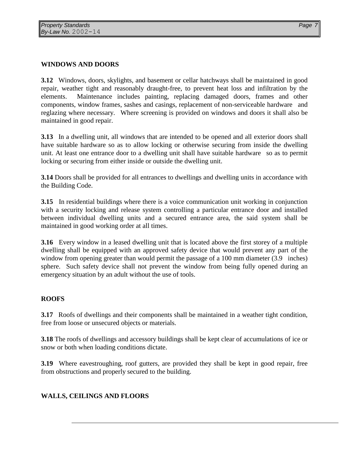## **WINDOWS AND DOORS**

**3.12** Windows, doors, skylights, and basement or cellar hatchways shall be maintained in good repair, weather tight and reasonably draught-free, to prevent heat loss and infiltration by the elements. Maintenance includes painting, replacing damaged doors, frames and other components, window frames, sashes and casings, replacement of non-serviceable hardware and reglazing where necessary. Where screening is provided on windows and doors it shall also be maintained in good repair.

**3.13** In a dwelling unit, all windows that are intended to be opened and all exterior doors shall have suitable hardware so as to allow locking or otherwise securing from inside the dwelling unit. At least one entrance door to a dwelling unit shall have suitable hardware so as to permit locking or securing from either inside or outside the dwelling unit.

**3.14** Doors shall be provided for all entrances to dwellings and dwelling units in accordance with the Building Code.

**3.15** In residential buildings where there is a voice communication unit working in conjunction with a security locking and release system controlling a particular entrance door and installed between individual dwelling units and a secured entrance area, the said system shall be maintained in good working order at all times.

**3.16** Every window in a leased dwelling unit that is located above the first storey of a multiple dwelling shall be equipped with an approved safety device that would prevent any part of the window from opening greater than would permit the passage of a 100 mm diameter (3.9 inches) sphere. Such safety device shall not prevent the window from being fully opened during an emergency situation by an adult without the use of tools.

## **ROOFS**

**3.17** Roofs of dwellings and their components shall be maintained in a weather tight condition, free from loose or unsecured objects or materials.

**3.18** The roofs of dwellings and accessory buildings shall be kept clear of accumulations of ice or snow or both when loading conditions dictate.

**3.19** Where eavestroughing, roof gutters, are provided they shall be kept in good repair, free from obstructions and properly secured to the building.

# **WALLS, CEILINGS AND FLOORS**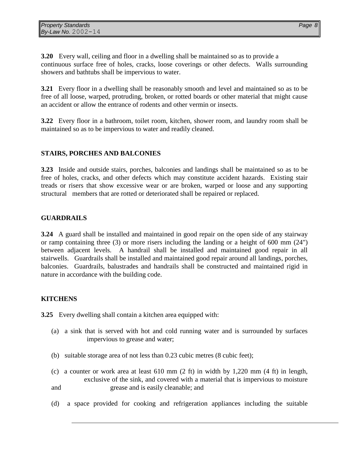**3.20** Every wall, ceiling and floor in a dwelling shall be maintained so as to provide a continuous surface free of holes, cracks, loose coverings or other defects. Walls surrounding showers and bathtubs shall be impervious to water.

**3.21** Every floor in a dwelling shall be reasonably smooth and level and maintained so as to be free of all loose, warped, protruding, broken, or rotted boards or other material that might cause an accident or allow the entrance of rodents and other vermin or insects.

**3.22** Every floor in a bathroom, toilet room, kitchen, shower room, and laundry room shall be maintained so as to be impervious to water and readily cleaned.

## **STAIRS, PORCHES AND BALCONIES**

**3.23** Inside and outside stairs, porches, balconies and landings shall be maintained so as to be free of holes, cracks, and other defects which may constitute accident hazards. Existing stair treads or risers that show excessive wear or are broken, warped or loose and any supporting structural members that are rotted or deteriorated shall be repaired or replaced.

## **GUARDRAILS**

**3.24** A guard shall be installed and maintained in good repair on the open side of any stairway or ramp containing three (3) or more risers including the landing or a height of 600 mm (24") between adjacent levels. A handrail shall be installed and maintained good repair in all stairwells. Guardrails shall be installed and maintained good repair around all landings, porches, balconies. Guardrails, balustrades and handrails shall be constructed and maintained rigid in nature in accordance with the building code.

## **KITCHENS**

**3.25** Every dwelling shall contain a kitchen area equipped with:

- (a) a sink that is served with hot and cold running water and is surrounded by surfaces impervious to grease and water;
- (b) suitable storage area of not less than 0.23 cubic metres (8 cubic feet);
- (c) a counter or work area at least  $610 \text{ mm}$  (2 ft) in width by 1,220 mm (4 ft) in length, exclusive of the sink, and covered with a material that is impervious to moisture and grease and is easily cleanable; and
- (d) a space provided for cooking and refrigeration appliances including the suitable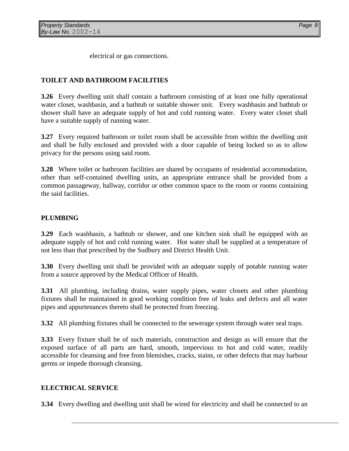electrical or gas connections.

# **TOILET AND BATHROOM FACILITIES**

**3.26** Every dwelling unit shall contain a bathroom consisting of at least one fully operational water closet, washbasin, and a bathtub or suitable shower unit. Every washbasin and bathtub or shower shall have an adequate supply of hot and cold running water. Every water closet shall have a suitable supply of running water.

**3.27** Every required bathroom or toilet room shall be accessible from within the dwelling unit and shall be fully enclosed and provided with a door capable of being locked so as to allow privacy for the persons using said room.

**3.28** Where toilet or bathroom facilities are shared by occupants of residential accommodation, other than self-contained dwelling units, an appropriate entrance shall be provided from a common passageway, hallway, corridor or other common space to the room or rooms containing the said facilities.

## **PLUMBING**

**3.29** Each washbasin, a bathtub or shower, and one kitchen sink shall be equipped with an adequate supply of hot and cold running water. Hot water shall be supplied at a temperature of not less than that prescribed by the Sudbury and District Health Unit.

**3.30** Every dwelling unit shall be provided with an adequate supply of potable running water from a source approved by the Medical Officer of Health.

**3.31** All plumbing, including drains, water supply pipes, water closets and other plumbing fixtures shall be maintained in good working condition free of leaks and defects and all water pipes and appurtenances thereto shall be protected from freezing.

**3.32** All plumbing fixtures shall be connected to the sewerage system through water seal traps.

**3.33** Every fixture shall be of such materials, construction and design as will ensure that the exposed surface of all parts are hard, smooth, impervious to hot and cold water, readily accessible for cleansing and free from blemishes, cracks, stains, or other defects that may harbour germs or impede thorough cleansing.

## **ELECTRICAL SERVICE**

**3.34** Every dwelling and dwelling unit shall be wired for electricity and shall be connected to an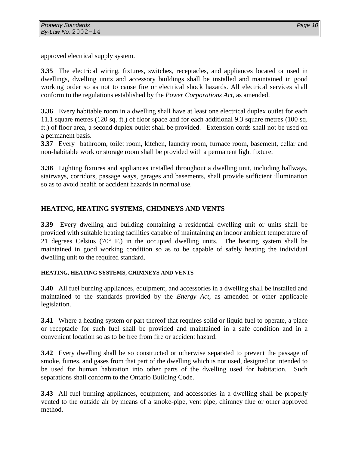approved electrical supply system.

**3.35** The electrical wiring, fixtures, switches, receptacles, and appliances located or used in dwellings, dwelling units and accessory buildings shall be installed and maintained in good working order so as not to cause fire or electrical shock hazards. All electrical services shall conform to the regulations established by the *Power Corporations Act*, as amended.

**3.36** Every habitable room in a dwelling shall have at least one electrical duplex outlet for each 11.1 square metres (120 sq. ft.) of floor space and for each additional 9.3 square metres (100 sq. ft.) of floor area, a second duplex outlet shall be provided. Extension cords shall not be used on a permanent basis.

**3.37** Every bathroom, toilet room, kitchen, laundry room, furnace room, basement, cellar and non-habitable work or storage room shall be provided with a permanent light fixture.

**3.38** Lighting fixtures and appliances installed throughout a dwelling unit, including hallways, stairways, corridors, passage ways, garages and basements, shall provide sufficient illumination so as to avoid health or accident hazards in normal use.

# **HEATING, HEATING SYSTEMS, CHIMNEYS AND VENTS**

**3.39** Every dwelling and building containing a residential dwelling unit or units shall be provided with suitable heating facilities capable of maintaining an indoor ambient temperature of 21 degrees Celsius ( $70^{\circ}$  F.) in the occupied dwelling units. The heating system shall be maintained in good working condition so as to be capable of safely heating the individual dwelling unit to the required standard.

## **HEATING, HEATING SYSTEMS, CHIMNEYS AND VENTS**

**3.40** All fuel burning appliances, equipment, and accessories in a dwelling shall be installed and maintained to the standards provided by the *Energy Act*, as amended or other applicable legislation.

**3.41** Where a heating system or part thereof that requires solid or liquid fuel to operate, a place or receptacle for such fuel shall be provided and maintained in a safe condition and in a convenient location so as to be free from fire or accident hazard.

**3.42** Every dwelling shall be so constructed or otherwise separated to prevent the passage of smoke, fumes, and gases from that part of the dwelling which is not used, designed or intended to be used for human habitation into other parts of the dwelling used for habitation. Such separations shall conform to the Ontario Building Code.

**3.43** All fuel burning appliances, equipment, and accessories in a dwelling shall be properly vented to the outside air by means of a smoke-pipe, vent pipe, chimney flue or other approved method.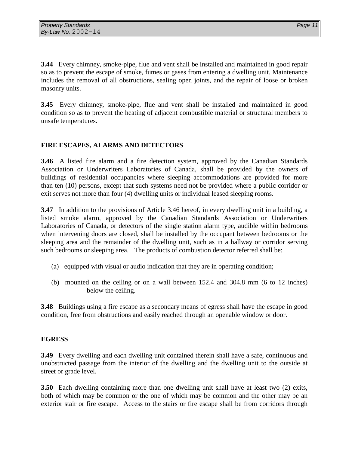**3.44** Every chimney, smoke-pipe, flue and vent shall be installed and maintained in good repair so as to prevent the escape of smoke, fumes or gases from entering a dwelling unit. Maintenance includes the removal of all obstructions, sealing open joints, and the repair of loose or broken masonry units.

**3.45** Every chimney, smoke-pipe, flue and vent shall be installed and maintained in good condition so as to prevent the heating of adjacent combustible material or structural members to unsafe temperatures.

## **FIRE ESCAPES, ALARMS AND DETECTORS**

**3.46** A listed fire alarm and a fire detection system, approved by the Canadian Standards Association or Underwriters Laboratories of Canada, shall be provided by the owners of buildings of residential occupancies where sleeping accommodations are provided for more than ten (10) persons, except that such systems need not be provided where a public corridor or exit serves not more than four (4) dwelling units or individual leased sleeping rooms.

**3.47** In addition to the provisions of Article 3.46 hereof, in every dwelling unit in a building, a listed smoke alarm, approved by the Canadian Standards Association or Underwriters Laboratories of Canada, or detectors of the single station alarm type, audible within bedrooms when intervening doors are closed, shall be installed by the occupant between bedrooms or the sleeping area and the remainder of the dwelling unit, such as in a hallway or corridor serving such bedrooms or sleeping area. The products of combustion detector referred shall be:

- (a) equipped with visual or audio indication that they are in operating condition;
- (b) mounted on the ceiling or on a wall between 152.4 and 304.8 mm (6 to 12 inches) below the ceiling.

**3.48** Buildings using a fire escape as a secondary means of egress shall have the escape in good condition, free from obstructions and easily reached through an openable window or door.

#### **EGRESS**

**3.49** Every dwelling and each dwelling unit contained therein shall have a safe, continuous and unobstructed passage from the interior of the dwelling and the dwelling unit to the outside at street or grade level.

**3.50** Each dwelling containing more than one dwelling unit shall have at least two (2) exits, both of which may be common or the one of which may be common and the other may be an exterior stair or fire escape. Access to the stairs or fire escape shall be from corridors through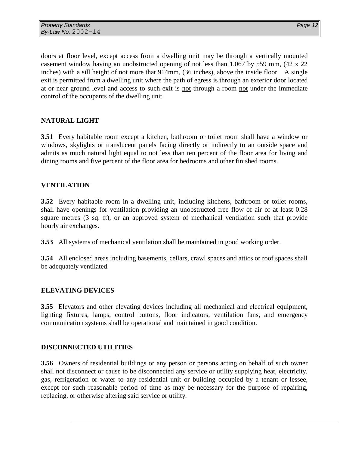doors at floor level, except access from a dwelling unit may be through a vertically mounted casement window having an unobstructed opening of not less than 1,067 by 559 mm, (42 x 22 inches) with a sill height of not more that 914mm, (36 inches), above the inside floor. A single exit is permitted from a dwelling unit where the path of egress is through an exterior door located at or near ground level and access to such exit is not through a room not under the immediate control of the occupants of the dwelling unit.

## **NATURAL LIGHT**

**3.51** Every habitable room except a kitchen, bathroom or toilet room shall have a window or windows, skylights or translucent panels facing directly or indirectly to an outside space and admits as much natural light equal to not less than ten percent of the floor area for living and dining rooms and five percent of the floor area for bedrooms and other finished rooms.

## **VENTILATION**

**3.52** Every habitable room in a dwelling unit, including kitchens, bathroom or toilet rooms, shall have openings for ventilation providing an unobstructed free flow of air of at least 0.28 square metres (3 sq. ft), or an approved system of mechanical ventilation such that provide hourly air exchanges.

**3.53** All systems of mechanical ventilation shall be maintained in good working order.

**3.54** All enclosed areas including basements, cellars, crawl spaces and attics or roof spaces shall be adequately ventilated.

## **ELEVATING DEVICES**

**3.55** Elevators and other elevating devices including all mechanical and electrical equipment, lighting fixtures, lamps, control buttons, floor indicators, ventilation fans, and emergency communication systems shall be operational and maintained in good condition.

## **DISCONNECTED UTILITIES**

**3.56** Owners of residential buildings or any person or persons acting on behalf of such owner shall not disconnect or cause to be disconnected any service or utility supplying heat, electricity, gas, refrigeration or water to any residential unit or building occupied by a tenant or lessee, except for such reasonable period of time as may be necessary for the purpose of repairing, replacing, or otherwise altering said service or utility.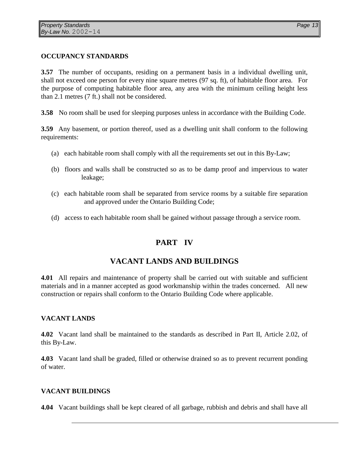## **OCCUPANCY STANDARDS**

**3.57** The number of occupants, residing on a permanent basis in a individual dwelling unit, shall not exceed one person for every nine square metres (97 sq. ft), of habitable floor area. For the purpose of computing habitable floor area, any area with the minimum ceiling height less than 2.1 metres (7 ft.) shall not be considered.

**3.58** No room shall be used for sleeping purposes unless in accordance with the Building Code.

**3.59** Any basement, or portion thereof, used as a dwelling unit shall conform to the following requirements:

- (a) each habitable room shall comply with all the requirements set out in this By-Law;
- (b) floors and walls shall be constructed so as to be damp proof and impervious to water leakage;
- (c) each habitable room shall be separated from service rooms by a suitable fire separation and approved under the Ontario Building Code;
- (d) access to each habitable room shall be gained without passage through a service room.

# **PART IV**

# **VACANT LANDS AND BUILDINGS**

**4.01** All repairs and maintenance of property shall be carried out with suitable and sufficient materials and in a manner accepted as good workmanship within the trades concerned. All new construction or repairs shall conform to the Ontario Building Code where applicable.

## **VACANT LANDS**

**4.02** Vacant land shall be maintained to the standards as described in Part II, Article 2.02, of this By-Law.

**4.03** Vacant land shall be graded, filled or otherwise drained so as to prevent recurrent ponding of water.

## **VACANT BUILDINGS**

**4.04** Vacant buildings shall be kept cleared of all garbage, rubbish and debris and shall have all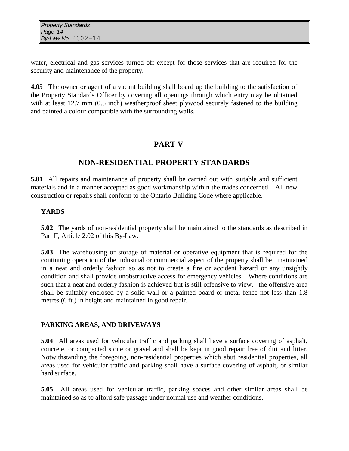water, electrical and gas services turned off except for those services that are required for the security and maintenance of the property.

**4.05** The owner or agent of a vacant building shall board up the building to the satisfaction of the Property Standards Officer by covering all openings through which entry may be obtained with at least 12.7 mm (0.5 inch) weatherproof sheet plywood securely fastened to the building and painted a colour compatible with the surrounding walls.

# **PART V**

# **NON-RESIDENTIAL PROPERTY STANDARDS**

**5.01** All repairs and maintenance of property shall be carried out with suitable and sufficient materials and in a manner accepted as good workmanship within the trades concerned. All new construction or repairs shall conform to the Ontario Building Code where applicable.

# **YARDS**

**5.02** The yards of non-residential property shall be maintained to the standards as described in Part II, Article 2.02 of this By-Law.

**5.03** The warehousing or storage of material or operative equipment that is required for the continuing operation of the industrial or commercial aspect of the property shall be maintained in a neat and orderly fashion so as not to create a fire or accident hazard or any unsightly condition and shall provide unobstructive access for emergency vehicles. Where conditions are such that a neat and orderly fashion is achieved but is still offensive to view, the offensive area shall be suitably enclosed by a solid wall or a painted board or metal fence not less than 1.8 metres (6 ft.) in height and maintained in good repair.

# **PARKING AREAS, AND DRIVEWAYS**

**5.04** All areas used for vehicular traffic and parking shall have a surface covering of asphalt, concrete, or compacted stone or gravel and shall be kept in good repair free of dirt and litter. Notwithstanding the foregoing, non-residential properties which abut residential properties, all areas used for vehicular traffic and parking shall have a surface covering of asphalt, or similar hard surface.

**5.05** All areas used for vehicular traffic, parking spaces and other similar areas shall be maintained so as to afford safe passage under normal use and weather conditions.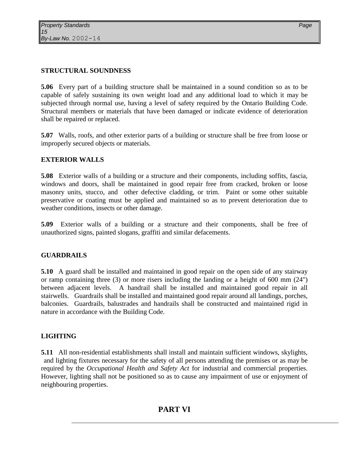## **STRUCTURAL SOUNDNESS**

**5.06** Every part of a building structure shall be maintained in a sound condition so as to be capable of safely sustaining its own weight load and any additional load to which it may be subjected through normal use, having a level of safety required by the Ontario Building Code. Structural members or materials that have been damaged or indicate evidence of deterioration shall be repaired or replaced.

**5.07** Walls, roofs, and other exterior parts of a building or structure shall be free from loose or improperly secured objects or materials.

## **EXTERIOR WALLS**

**5.08** Exterior walls of a building or a structure and their components, including soffits, fascia, windows and doors, shall be maintained in good repair free from cracked, broken or loose masonry units, stucco, and other defective cladding, or trim. Paint or some other suitable preservative or coating must be applied and maintained so as to prevent deterioration due to weather conditions, insects or other damage.

**5.09** Exterior walls of a building or a structure and their components, shall be free of unauthorized signs, painted slogans, graffiti and similar defacements.

## **GUARDRAILS**

**5.10** A guard shall be installed and maintained in good repair on the open side of any stairway or ramp containing three (3) or more risers including the landing or a height of 600 mm (24") between adjacent levels. A handrail shall be installed and maintained good repair in all stairwells. Guardrails shall be installed and maintained good repair around all landings, porches, balconies. Guardrails, balustrades and handrails shall be constructed and maintained rigid in nature in accordance with the Building Code.

## **LIGHTING**

**5.11** All non-residential establishments shall install and maintain sufficient windows, skylights, and lighting fixtures necessary for the safety of all persons attending the premises or as may be required by the *Occupational Health and Safety Act* for industrial and commercial properties. However, lighting shall not be positioned so as to cause any impairment of use or enjoyment of neighbouring properties.

# **PART VI**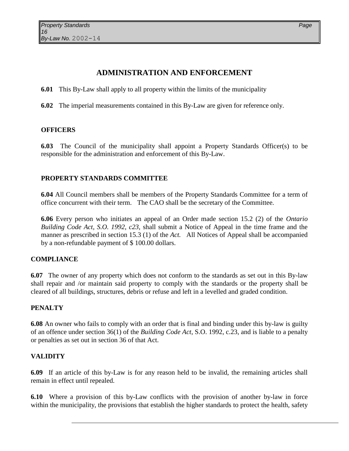# **ADMINISTRATION AND ENFORCEMENT**

**6.01** This By-Law shall apply to all property within the limits of the municipality

**6.02** The imperial measurements contained in this By-Law are given for reference only.

#### **OFFICERS**

**6.03** The Council of the municipality shall appoint a Property Standards Officer(s) to be responsible for the administration and enforcement of this By-Law.

## **PROPERTY STANDARDS COMMITTEE**

**6.04** All Council members shall be members of the Property Standards Committee for a term of office concurrent with their term. The CAO shall be the secretary of the Committee.

**6.06** Every person who initiates an appeal of an Order made section 15.2 (2) of the *Ontario Building Code Act, S.O. 1992, c23,* shall submit a Notice of Appeal in the time frame and the manner as prescribed in section 15.3 (1) of the *Act.* All Notices of Appeal shall be accompanied by a non-refundable payment of \$ 100.00 dollars.

## **COMPLIANCE**

**6.07** The owner of any property which does not conform to the standards as set out in this By-law shall repair and /or maintain said property to comply with the standards or the property shall be cleared of all buildings, structures, debris or refuse and left in a levelled and graded condition.

#### **PENALTY**

**6.08** An owner who fails to comply with an order that is final and binding under this by-law is guilty of an offence under section 36(1) of the *Building Code Act*, S.O. 1992, c.23, and is liable to a penalty or penalties as set out in section 36 of that Act.

#### **VALIDITY**

**6.09** If an article of this by-Law is for any reason held to be invalid, the remaining articles shall remain in effect until repealed.

**6.10** Where a provision of this by-Law conflicts with the provision of another by-law in force within the municipality, the provisions that establish the higher standards to protect the health, safety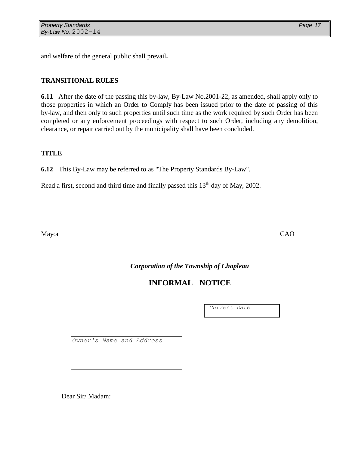and welfare of the general public shall prevail**.**

## **TRANSITIONAL RULES**

**6.11** After the date of the passing this by-law, By-Law No.2001-22, as amended, shall apply only to those properties in which an Order to Comply has been issued prior to the date of passing of this by-law, and then only to such properties until such time as the work required by such Order has been completed or any enforcement proceedings with respect to such Order, including any demolition, clearance, or repair carried out by the municipality shall have been concluded.

#### **TITLE**

**6.12** This By-Law may be referred to as "The Property Standards By-Law".

Read a first, second and third time and finally passed this 13<sup>th</sup> day of May, 2002.

Mayor CAO

l  $\overline{a}$ 

*Corporation of the Township of Chapleau*

**INFORMAL NOTICE**

*Current Date*

*Owner's Name and Address*

Dear Sir/ Madam: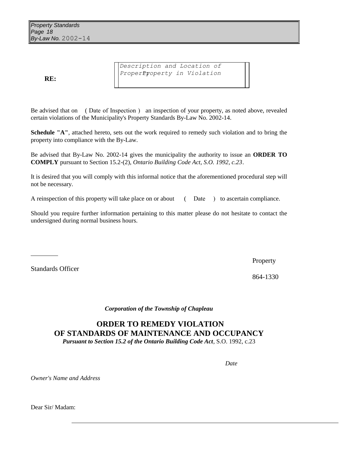**RE:**

*Description and Location of Property Property in Violation*

Be advised that on ( Date of Inspection ) an inspection of your property, as noted above, revealed certain violations of the Municipality's Property Standards By-Law No. 2002-14.

**Schedule "A"**, attached hereto, sets out the work required to remedy such violation and to bring the property into compliance with the By-Law.

Be advised that By-Law No. 2002-14 gives the municipality the authority to issue an **ORDER TO COMPLY** pursuant to Section 15.2-(2), *Ontario Building Code Act, S.O. 1992, c.23*.

It is desired that you will comply with this informal notice that the aforementioned procedural step will not be necessary.

A reinspection of this property will take place on or about (Date ) to ascertain compliance.

Should you require further information pertaining to this matter please do not hesitate to contact the undersigned during normal business hours.

Standards Officer

l

Property

864-1330

*Corporation of the Township of Chapleau*

**ORDER TO REMEDY VIOLATION OF STANDARDS OF MAINTENANCE AND OCCUPANCY** *Pursuant to Section 15.2 of the Ontario Building Code Act*, S.O. 1992, c.23

*Date*

*Owner's Name and Address*

Dear Sir/ Madam: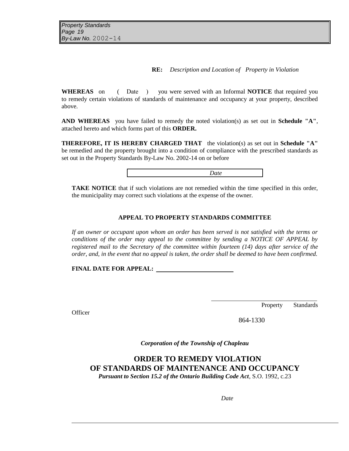**RE:** *Description and Location of Property in Violation*

**WHEREAS** on ( Date ) you were served with an Informal **NOTICE** that required you to remedy certain violations of standards of maintenance and occupancy at your property, described above.

**AND WHEREAS** you have failed to remedy the noted violation(s) as set out in **Schedule "A"**, attached hereto and which forms part of this **ORDER.**

**THEREFORE, IT IS HEREBY CHARGED THAT** the violation(s) as set out in **Schedule "A"** be remedied and the property brought into a condition of compliance with the prescribed standards as set out in the Property Standards By-Law No. 2002-14 on or before

|--|--|

**TAKE NOTICE** that if such violations are not remedied within the time specified in this order, the municipality may correct such violations at the expense of the owner.

#### **APPEAL TO PROPERTY STANDARDS COMMITTEE**

*If an owner or occupant upon whom an order has been served is not satisfied with the terms or conditions of the order may appeal to the committee by sending a NOTICE OF APPEAL by registered mail to the Secretary of the committee within fourteen (14) days after service of the order, and, in the event that no appeal is taken, the order shall be deemed to have been confirmed.*

**FINAL DATE FOR APPEAL:** 

**Officer** 

Property Standards

864-1330

*Corporation of the Township of Chapleau*

 **ORDER TO REMEDY VIOLATION OF STANDARDS OF MAINTENANCE AND OCCUPANCY** *Pursuant to Section 15.2 of the Ontario Building Code Act*, S.O. 1992, c.23

*Date*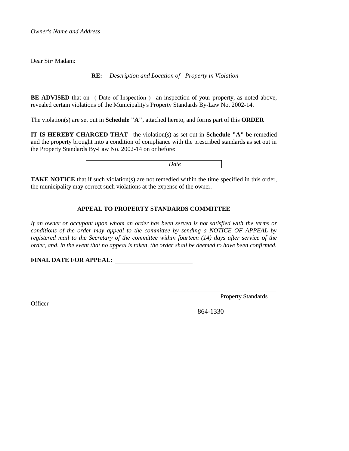Dear Sir/ Madam:

**RE:** *Description and Location of Property in Violation*

**BE ADVISED** that on ( Date of Inspection ) an inspection of your property, as noted above, revealed certain violations of the Municipality's Property Standards By-Law No. 2002-14.

The violation(s) are set out in **Schedule "A"**, attached hereto, and forms part of this **ORDER**

**IT IS HEREBY CHARGED THAT** the violation(s) as set out in **Schedule "A"** be remedied and the property brought into a condition of compliance with the prescribed standards as set out in the Property Standards By-Law No. 2002-14 on or before:

**TAKE NOTICE** that if such violation(s) are not remedied within the time specified in this order, the municipality may correct such violations at the expense of the owner.

#### **APPEAL TO PROPERTY STANDARDS COMMITTEE**

If an owner or occupant upon whom an order has been served is not satisfied with the terms or *conditions of the order may appeal to the committee by sending a NOTICE OF APPEAL by registered mail to the Secretary of the committee within fourteen (14) days after service of the order, and, in the event that no appeal is taken, the order shall be deemed to have been confirmed.*

**FINAL DATE FOR APPEAL:** 

**Officer** 

Property Standards

864-1330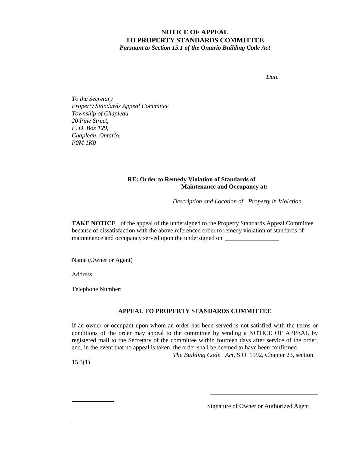# **NOTICE OF APPEAL TO PROPERTY STANDARDS COMMITTEE**

*Pursuant to Section 15.1 of the Ontario Building Code Act*

*Date*

*To the Secretary Property Standards Appeal Committee Township of Chapleau 20 Pine Street, P. O. Box 129, Chapleau, Ontario. P0M 1K0*

#### **RE: Order to Remedy Violation of Standards of Maintenance and Occupancy at:**

*Description and Location of Property in Violation*

**TAKE NOTICE** of the appeal of the undersigned to the Property Standards Appeal Committee because of dissatisfaction with the above referenced order to remedy violation of standards of maintenance and occupancy served upon the undersigned on

Name (Owner or Agent)

Address:

Telephone Number:

#### **APPEAL TO PROPERTY STANDARDS COMMITTEE**

If an owner or occupant upon whom an order has been served is not satisfied with the terms or conditions of the order may appeal to the committee by sending a NOTICE OF APPEAL by registered mail to the Secretary of the committee within fourteen days after service of the order, and, in the event that no appeal is taken, the order shall be deemed to have been confirmed.  *The Building Code Act*, S.O. 1992, Chapter 23, section

15.3(1)

l

Signature of Owner or Authorized Agent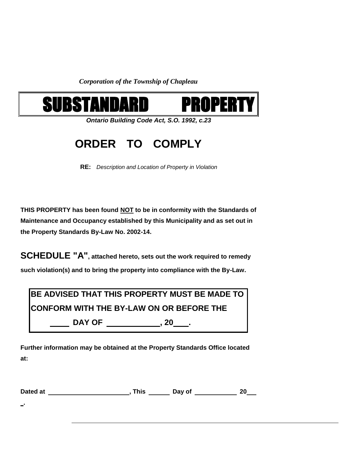*Corporation of the Township of Chapleau* 



*Ontario Building Code Act, S.O. 1992, c.23* 

# **ORDER TO COMPLY**

**RE:** *Description and Location of Property in Violation*

**THIS PROPERTY has been found NOT to be in conformity with the Standards of Maintenance and Occupancy established by this Municipality and as set out in the Property Standards By-Law No. 2002-14.**

**SCHEDULE "A", attached hereto, sets out the work required to remedy such violation(s) and to bring the property into compliance with the By-Law.**

**BE ADVISED THAT THIS PROPERTY MUST BE MADE TO CONFORM WITH THE BY-LAW ON OR BEFORE THE DAY OF , 20 .**

**Further information may be obtained at the Property Standards Office located at:**

| Dated at | <b>This</b> | Jav of |  |
|----------|-------------|--------|--|
|          |             |        |  |

**.**